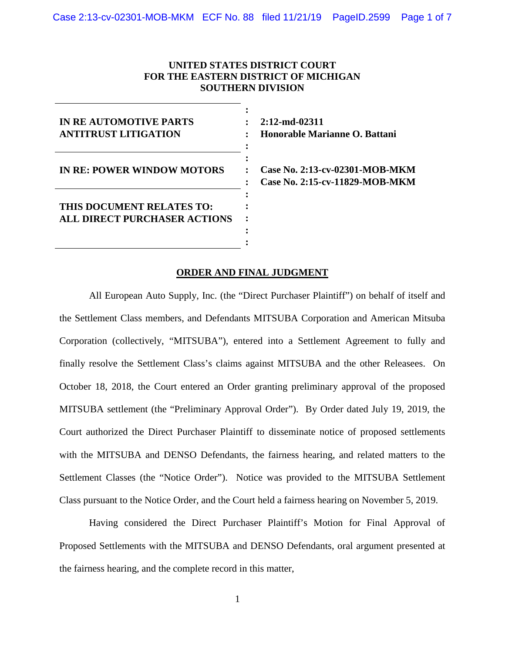### **UNITED STATES DISTRICT COURT FOR THE EASTERN DISTRICT OF MICHIGAN SOUTHERN DIVISION**

| <b>IN RE AUTOMOTIVE PARTS</b><br><b>ANTITRUST LITIGATION</b>     |  |
|------------------------------------------------------------------|--|
| <b>IN RE: POWER WINDOW MOTORS</b>                                |  |
| THIS DOCUMENT RELATES TO:<br><b>ALL DIRECT PURCHASER ACTIONS</b> |  |

**2:12-md-02311 Honorable Marianne O. Battani**

**Case No. 2:13-cv-02301-MOB-MKM Case No. 2:15-cv-11829-MOB-MKM**

#### **ORDER AND FINAL JUDGMENT**

**:**

All European Auto Supply, Inc. (the "Direct Purchaser Plaintiff") on behalf of itself and the Settlement Class members, and Defendants MITSUBA Corporation and American Mitsuba Corporation (collectively, "MITSUBA"), entered into a Settlement Agreement to fully and finally resolve the Settlement Class's claims against MITSUBA and the other Releasees. On October 18, 2018, the Court entered an Order granting preliminary approval of the proposed MITSUBA settlement (the "Preliminary Approval Order"). By Order dated July 19, 2019, the Court authorized the Direct Purchaser Plaintiff to disseminate notice of proposed settlements with the MITSUBA and DENSO Defendants, the fairness hearing, and related matters to the Settlement Classes (the "Notice Order"). Notice was provided to the MITSUBA Settlement Class pursuant to the Notice Order, and the Court held a fairness hearing on November 5, 2019.

Having considered the Direct Purchaser Plaintiff's Motion for Final Approval of Proposed Settlements with the MITSUBA and DENSO Defendants, oral argument presented at the fairness hearing, and the complete record in this matter,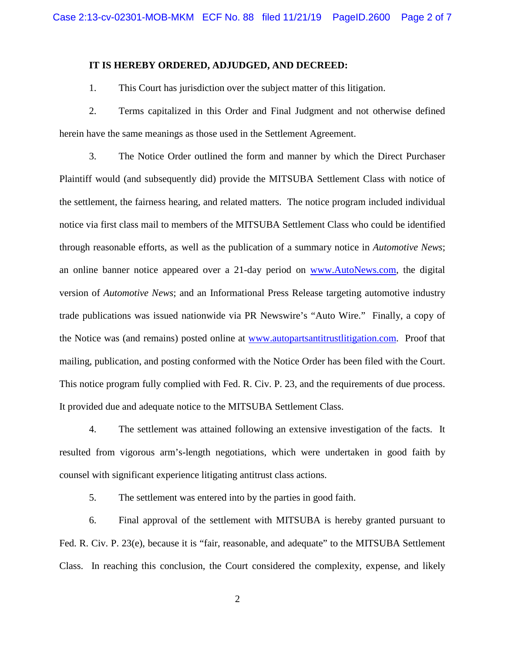#### **IT IS HEREBY ORDERED, ADJUDGED, AND DECREED:**

1. This Court has jurisdiction over the subject matter of this litigation.

2. Terms capitalized in this Order and Final Judgment and not otherwise defined herein have the same meanings as those used in the Settlement Agreement.

3. The Notice Order outlined the form and manner by which the Direct Purchaser Plaintiff would (and subsequently did) provide the MITSUBA Settlement Class with notice of the settlement, the fairness hearing, and related matters. The notice program included individual notice via first class mail to members of the MITSUBA Settlement Class who could be identified through reasonable efforts, as well as the publication of a summary notice in *Automotive News*; an online banner notice appeared over a 21-day period on [www.AutoNews.com,](http://www.autonews.com/) the digital version of *Automotive News*; and an Informational Press Release targeting automotive industry trade publications was issued nationwide via PR Newswire's "Auto Wire." Finally, a copy of the Notice was (and remains) posted online at [www.autopartsantitrustlitigation.com.](http://www.autopartsantitrustlitigation.com/) Proof that mailing, publication, and posting conformed with the Notice Order has been filed with the Court. This notice program fully complied with Fed. R. Civ. P. 23, and the requirements of due process. It provided due and adequate notice to the MITSUBA Settlement Class.

4. The settlement was attained following an extensive investigation of the facts. It resulted from vigorous arm's-length negotiations, which were undertaken in good faith by counsel with significant experience litigating antitrust class actions.

5. The settlement was entered into by the parties in good faith.

6. Final approval of the settlement with MITSUBA is hereby granted pursuant to Fed. R. Civ. P. 23(e), because it is "fair, reasonable, and adequate" to the MITSUBA Settlement Class. In reaching this conclusion, the Court considered the complexity, expense, and likely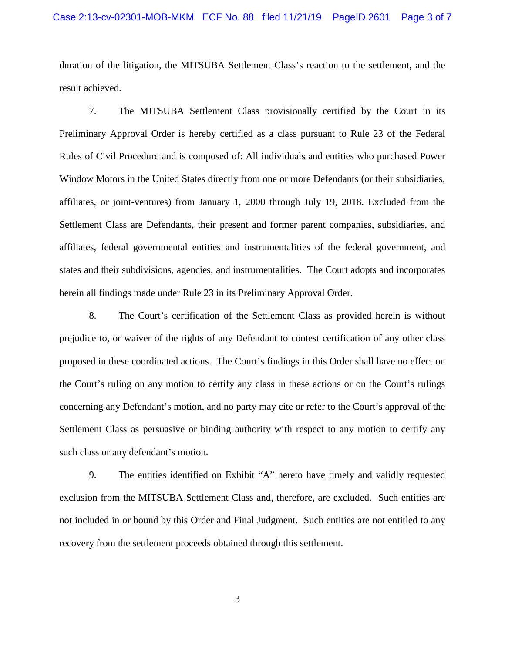#### Case 2:13-cv-02301-MOB-MKM ECF No. 88 filed 11/21/19 PageID.2601 Page 3 of 7

duration of the litigation, the MITSUBA Settlement Class's reaction to the settlement, and the result achieved.

7. The MITSUBA Settlement Class provisionally certified by the Court in its Preliminary Approval Order is hereby certified as a class pursuant to Rule 23 of the Federal Rules of Civil Procedure and is composed of: All individuals and entities who purchased Power Window Motors in the United States directly from one or more Defendants (or their subsidiaries, affiliates, or joint-ventures) from January 1, 2000 through July 19, 2018. Excluded from the Settlement Class are Defendants, their present and former parent companies, subsidiaries, and affiliates, federal governmental entities and instrumentalities of the federal government, and states and their subdivisions, agencies, and instrumentalities. The Court adopts and incorporates herein all findings made under Rule 23 in its Preliminary Approval Order.

8. The Court's certification of the Settlement Class as provided herein is without prejudice to, or waiver of the rights of any Defendant to contest certification of any other class proposed in these coordinated actions. The Court's findings in this Order shall have no effect on the Court's ruling on any motion to certify any class in these actions or on the Court's rulings concerning any Defendant's motion, and no party may cite or refer to the Court's approval of the Settlement Class as persuasive or binding authority with respect to any motion to certify any such class or any defendant's motion.

9. The entities identified on Exhibit "A" hereto have timely and validly requested exclusion from the MITSUBA Settlement Class and, therefore, are excluded. Such entities are not included in or bound by this Order and Final Judgment. Such entities are not entitled to any recovery from the settlement proceeds obtained through this settlement.

3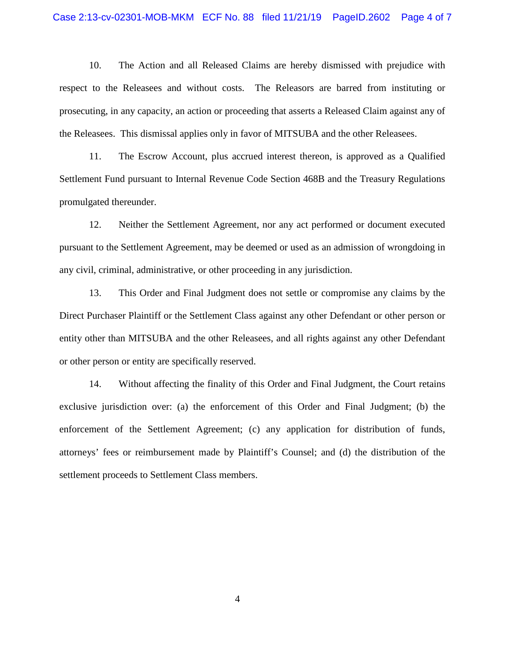#### Case 2:13-cv-02301-MOB-MKM ECF No. 88 filed 11/21/19 PageID.2602 Page 4 of 7

10. The Action and all Released Claims are hereby dismissed with prejudice with respect to the Releasees and without costs. The Releasors are barred from instituting or prosecuting, in any capacity, an action or proceeding that asserts a Released Claim against any of the Releasees. This dismissal applies only in favor of MITSUBA and the other Releasees.

11. The Escrow Account, plus accrued interest thereon, is approved as a Qualified Settlement Fund pursuant to Internal Revenue Code Section 468B and the Treasury Regulations promulgated thereunder.

12. Neither the Settlement Agreement, nor any act performed or document executed pursuant to the Settlement Agreement, may be deemed or used as an admission of wrongdoing in any civil, criminal, administrative, or other proceeding in any jurisdiction.

13. This Order and Final Judgment does not settle or compromise any claims by the Direct Purchaser Plaintiff or the Settlement Class against any other Defendant or other person or entity other than MITSUBA and the other Releasees, and all rights against any other Defendant or other person or entity are specifically reserved.

14. Without affecting the finality of this Order and Final Judgment, the Court retains exclusive jurisdiction over: (a) the enforcement of this Order and Final Judgment; (b) the enforcement of the Settlement Agreement; (c) any application for distribution of funds, attorneys' fees or reimbursement made by Plaintiff's Counsel; and (d) the distribution of the settlement proceeds to Settlement Class members.

4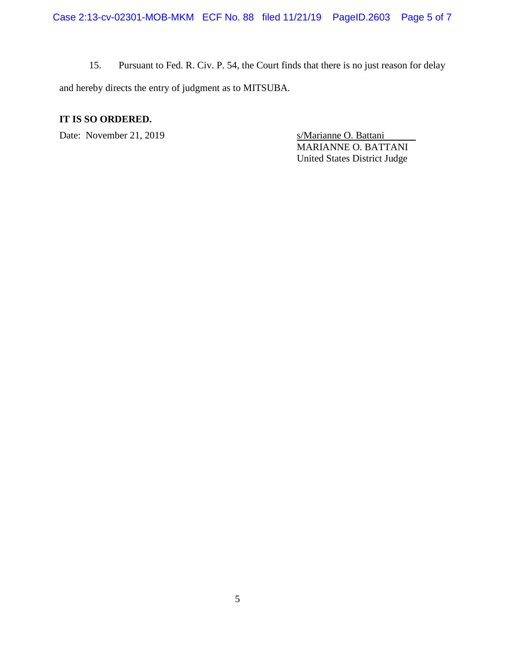15. Pursuant to Fed. R. Civ. P. 54, the Court finds that there is no just reason for delay and hereby directs the entry of judgment as to MITSUBA.

## **IT IS SO ORDERED.**

Date: November 21, 2019 s/Marianne O. Battani

MARIANNE O. BATTANI United States District Judge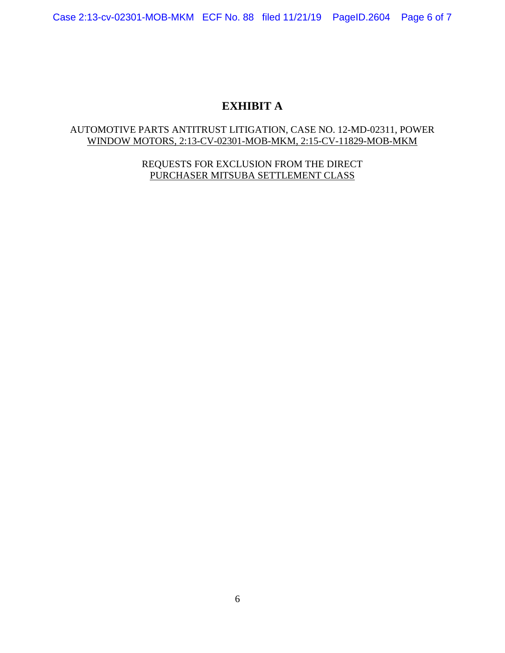Case 2:13-cv-02301-MOB-MKM ECF No. 88 filed 11/21/19 PageID.2604 Page 6 of 7

# **EXHIBIT A**

## AUTOMOTIVE PARTS ANTITRUST LITIGATION, CASE NO. 12-MD-02311, POWER WINDOW MOTORS, 2:13-CV-02301-MOB-MKM, 2:15-CV-11829-MOB-MKM

REQUESTS FOR EXCLUSION FROM THE DIRECT PURCHASER MITSUBA SETTLEMENT CLASS